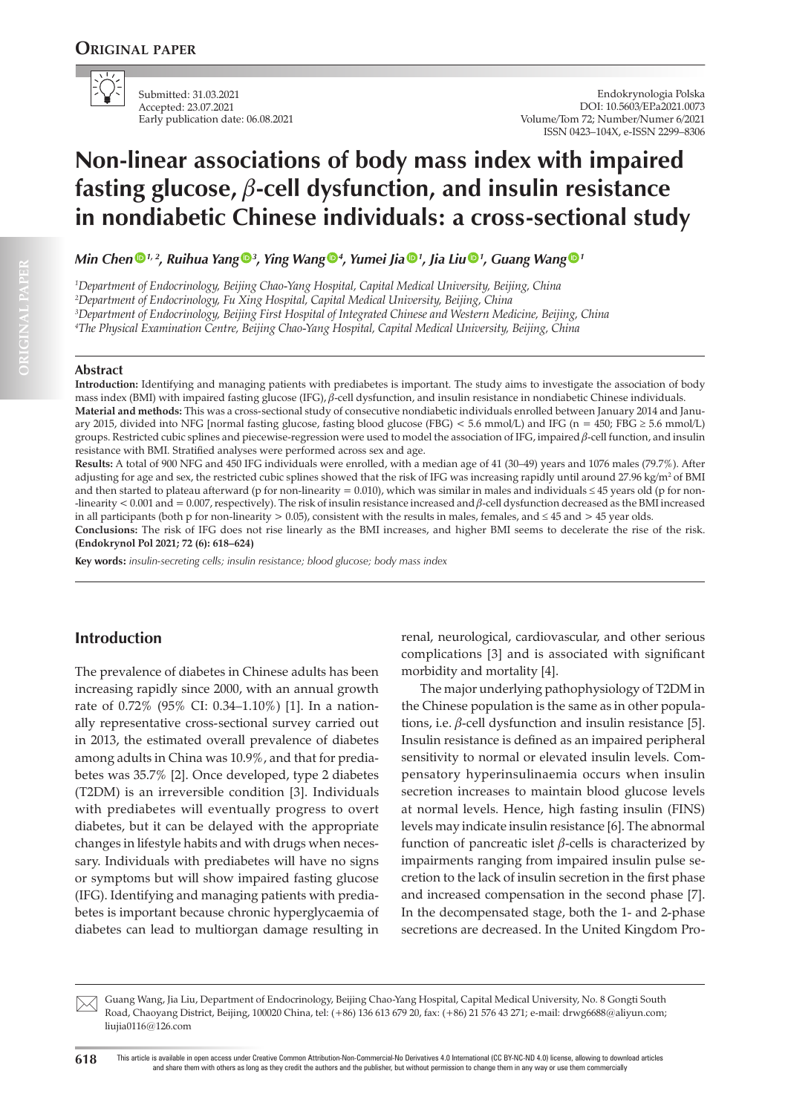

Submitted: 31.03.2021 Accepted: 23.07.2021 Early publication date: 06.08.2021

Endokrynologia Polska DOI: 10.5603/EP.a2021.0073 Volume/Tom 72; Number/Numer 6/2021 ISSN 0423–104X, e-ISSN 2299–8306

# **Non-linear associations of body mass index with impaired fasting glucose,** b**-cell dysfunction, and insulin resistance in nondiabetic Chinese individuals: a cross-sectional study**

*Min Chen [1](https://orcid.org/0000-0002-5804-9101), 2, Ruihua Yang [3](https://orcid.org/0000-0003-3752-2286) , Ying Wan[g](https://orcid.org/0000-0003-2372-1700) <sup>4</sup> , Yumei Ji[a](https://orcid.org/0000-0001-8718-5105) <sup>1</sup> , Jia Li[u](https://orcid.org/0000-0002-6957-3814) <sup>1</sup> , Guang Wan[g](https://orcid.org/0000-0002-3810-1419) <sup>1</sup>*

*1 Department of Endocrinology, Beijing Chao-Yang Hospital, Capital Medical University, Beijing, China*

*2 Department of Endocrinology, Fu Xing Hospital, Capital Medical University, Beijing, China*

*3 Department of Endocrinology, Beijing First Hospital of Integrated Chinese and Western Medicine, Beijing, China*

*4 The Physical Examination Centre, Beijing Chao-Yang Hospital, Capital Medical University, Beijing, China*

#### **Abstract**

**Introduction:** Identifying and managing patients with prediabetes is important. The study aims to investigate the association of body mass index (BMI) with impaired fasting glucose (IFG),  $\beta$ -cell dysfunction, and insulin resistance in nondiabetic Chinese individuals.

**Material and methods:** This was a cross-sectional study of consecutive nondiabetic individuals enrolled between January 2014 and January 2015, divided into NFG [normal fasting glucose, fasting blood glucose (FBG) < 5.6 mmol/L) and IFG (n = 450; FBG ≥ 5.6 mmol/L) groups. Restricted cubic splines and piecewise-regression were used to model the association of IFG, impaired  $\beta$ -cell function, and insulin resistance with BMI. Stratified analyses were performed across sex and age.

**Results:** A total of 900 NFG and 450 IFG individuals were enrolled, with a median age of 41 (30–49) years and 1076 males (79.7%). After adjusting for age and sex, the restricted cubic splines showed that the risk of IFG was increasing rapidly until around 27.96 kg/m² of BMI and then started to plateau afterward (p for non-linearity = 0.010), which was similar in males and individuals  $\leq$  45 years old (p for non--linearity  $< 0.001$  and  $= 0.007$ , respectively). The risk of insulin resistance increased and  $\beta$ -cell dysfunction decreased as the BMI increased in all participants (both p for non-linearity  $> 0.05$ ), consistent with the results in males, females, and  $\leq 45$  and  $> 45$  year olds.

**Conclusions:** The risk of IFG does not rise linearly as the BMI increases, and higher BMI seems to decelerate the rise of the risk. **(Endokrynol Pol 2021; 72 (6): 618–624)**

**Key words:** *insulin-secreting cells; insulin resistance; blood glucose; body mass index*

# **Introduction**

The prevalence of diabetes in Chinese adults has been increasing rapidly since 2000, with an annual growth rate of 0.72% (95% CI: 0.34–1.10%) [1]. In a nationally representative cross-sectional survey carried out in 2013, the estimated overall prevalence of diabetes among adults in China was 10.9%, and that for prediabetes was 35.7% [2]. Once developed, type 2 diabetes (T2DM) is an irreversible condition [3]. Individuals with prediabetes will eventually progress to overt diabetes, but it can be delayed with the appropriate changes in lifestyle habits and with drugs when necessary. Individuals with prediabetes will have no signs or symptoms but will show impaired fasting glucose (IFG). Identifying and managing patients with prediabetes is important because chronic hyperglycaemia of diabetes can lead to multiorgan damage resulting in

renal, neurological, cardiovascular, and other serious complications [3] and is associated with significant morbidity and mortality [4].

The major underlying pathophysiology of T2DM in the Chinese population is the same as in other populations, i.e.  $\beta$ -cell dysfunction and insulin resistance [5]. Insulin resistance is defined as an impaired peripheral sensitivity to normal or elevated insulin levels. Compensatory hyperinsulinaemia occurs when insulin secretion increases to maintain blood glucose levels at normal levels. Hence, high fasting insulin (FINS) levels may indicate insulin resistance [6]. The abnormal function of pancreatic islet  $\beta$ -cells is characterized by impairments ranging from impaired insulin pulse secretion to the lack of insulin secretion in the first phase and increased compensation in the second phase [7]. In the decompensated stage, both the 1- and 2-phase secretions are decreased. In the United Kingdom Pro-

Guang Wang, Jia Liu, Department of Endocrinology, Beijing Chao-Yang Hospital, Capital Medical University, No. 8 Gongti South Road, Chaoyang District, Beijing, 100020 China, tel: (+86) 136 613 679 20, fax: (+86) 21 576 43 271; e-mail: drwg6688@aliyun.com; liujia0116@126.com  $\boxtimes$ 

**618** This article is available in open access under Creative Common Attribution-Non-Commercial-No Derivatives 4.0 International (CC BY-NC-ND 4.0) license, allowing to download articles and share them with others as long as they credit the authors and the publisher, but without permission to change them in any way or use them commercially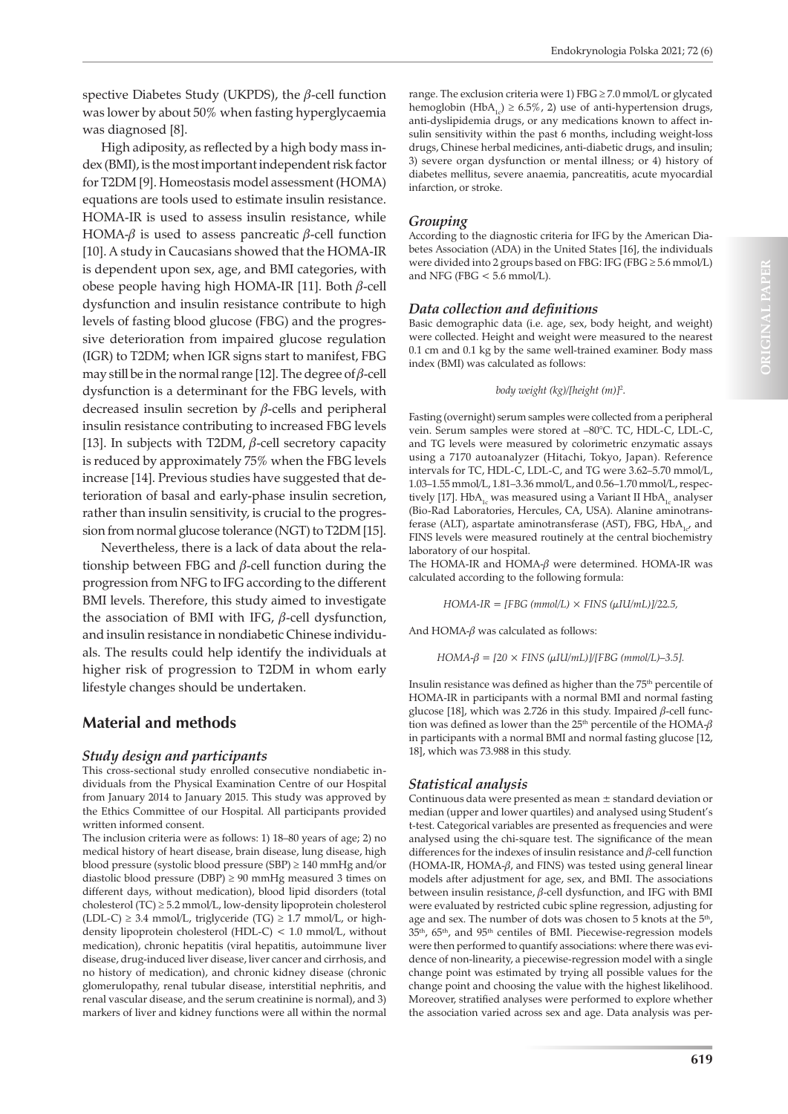spective Diabetes Study (UKPDS), the  $\beta$ -cell function was lower by about 50% when fasting hyperglycaemia was diagnosed [8].

High adiposity, as reflected by a high body mass index (BMI), is the most important independent risk factor for T2DM [9]. Homeostasis model assessment (HOMA) equations are tools used to estimate insulin resistance. HOMA-IR is used to assess insulin resistance, while HOMA- $\beta$  is used to assess pancreatic  $\beta$ -cell function [10]. A study in Caucasians showed that the HOMA-IR is dependent upon sex, age, and BMI categories, with obese people having high HOMA-IR [11]. Both  $\beta$ -cell dysfunction and insulin resistance contribute to high levels of fasting blood glucose (FBG) and the progressive deterioration from impaired glucose regulation (IGR) to T2DM; when IGR signs start to manifest, FBG may still be in the normal range [12]. The degree of  $\beta$ -cell dysfunction is a determinant for the FBG levels, with decreased insulin secretion by  $\beta$ -cells and peripheral insulin resistance contributing to increased FBG levels [13]. In subjects with T2DM,  $\beta$ -cell secretory capacity is reduced by approximately 75% when the FBG levels increase [14]. Previous studies have suggested that deterioration of basal and early-phase insulin secretion, rather than insulin sensitivity, is crucial to the progression from normal glucose tolerance (NGT) to T2DM [15].

Nevertheless, there is a lack of data about the relationship between FBG and  $\beta$ -cell function during the progression from NFG to IFG according to the different BMI levels. Therefore, this study aimed to investigate the association of BMI with IFG,  $\beta$ -cell dysfunction, and insulin resistance in nondiabetic Chinese individuals. The results could help identify the individuals at higher risk of progression to T2DM in whom early lifestyle changes should be undertaken.

# **Material and methods**

## *Study design and participants*

This cross-sectional study enrolled consecutive nondiabetic individuals from the Physical Examination Centre of our Hospital from January 2014 to January 2015. This study was approved by the Ethics Committee of our Hospital. All participants provided written informed consent.

The inclusion criteria were as follows: 1) 18–80 years of age; 2) no medical history of heart disease, brain disease, lung disease, high blood pressure (systolic blood pressure (SBP) ≥ 140 mmHg and/or diastolic blood pressure (DBP)  $\geq$  90 mmHg measured 3 times on different days, without medication), blood lipid disorders (total cholesterol (TC) ≥ 5.2 mmol/L, low-density lipoprotein cholesterol (LDL-C)  $\geq$  3.4 mmol/L, triglyceride (TG)  $\geq$  1.7 mmol/L, or highdensity lipoprotein cholesterol (HDL-C) < 1.0 mmol/L, without medication), chronic hepatitis (viral hepatitis, autoimmune liver disease, drug-induced liver disease, liver cancer and cirrhosis, and no history of medication), and chronic kidney disease (chronic glomerulopathy, renal tubular disease, interstitial nephritis, and renal vascular disease, and the serum creatinine is normal), and 3) markers of liver and kidney functions were all within the normal range. The exclusion criteria were 1) FBG ≥ 7.0 mmol/L or glycated hemoglobin (HbA<sub>1c</sub>) ≥ 6.5%, 2) use of anti-hypertension drugs, anti-dyslipidemia drugs, or any medications known to affect insulin sensitivity within the past 6 months, including weight-loss drugs, Chinese herbal medicines, anti-diabetic drugs, and insulin; 3) severe organ dysfunction or mental illness; or 4) history of diabetes mellitus, severe anaemia, pancreatitis, acute myocardial infarction, or stroke.

## *Grouping*

According to the diagnostic criteria for IFG by the American Diabetes Association (ADA) in the United States [16], the individuals were divided into 2 groups based on FBG: IFG (FBG  $\geq$  5.6 mmol/L) and NFG (FBG < 5.6 mmol/L).

## *Data collection and definitions*

Basic demographic data (i.e. age, sex, body height, and weight) were collected. Height and weight were measured to the nearest 0.1 cm and 0.1 kg by the same well-trained examiner. Body mass index (BMI) was calculated as follows:

#### *body weight (kg)/[height (m)]2* .

Fasting (overnight) serum samples were collected from a peripheral vein. Serum samples were stored at –80°C. TC, HDL-C, LDL-C, and TG levels were measured by colorimetric enzymatic assays using a 7170 autoanalyzer (Hitachi, Tokyo, Japan). Reference intervals for TC, HDL-C, LDL-C, and TG were 3.62–5.70 mmol/L, 1.03–1.55 mmol/L, 1.81–3.36 mmol/L, and 0.56–1.70 mmol/L, respectively [17]. Hb $A_{1c}$  was measured using a Variant II Hb $A_{1c}$  analyser (Bio-Rad Laboratories, Hercules, CA, USA). Alanine aminotransferase (ALT), aspartate aminotransferase (AST), FBG,  $HbA_{1c}$ , and FINS levels were measured routinely at the central biochemistry laboratory of our hospital.

The HOMA-IR and  $HOMA- $\beta$  were determined. HOMA-IR was$ calculated according to the following formula:

*HOMA-IR = [FBG (mmol/L) × FINS (μIU/mL)]/22.5,*

And  $HOMA-\beta$  was calculated as follows:

 $HOMA-\beta = [20 \times FINS (\mu IU/mL)]/[FBG (mmol/L)-3.5].$ 

Insulin resistance was defined as higher than the 75<sup>th</sup> percentile of HOMA-IR in participants with a normal BMI and normal fasting glucose [18], which was 2.726 in this study. Impaired  $\beta$ -cell function was defined as lower than the 25<sup>th</sup> percentile of the HOMA- $\beta$ in participants with a normal BMI and normal fasting glucose [12, 18], which was 73.988 in this study.

## *Statistical analysis*

Continuous data were presented as mean ± standard deviation or median (upper and lower quartiles) and analysed using Student's t-test. Categorical variables are presented as frequencies and were analysed using the chi-square test. The significance of the mean differences for the indexes of insulin resistance and  $\beta$ -cell function (HOMA-IR, HOMA- $\beta$ , and FINS) was tested using general linear models after adjustment for age, sex, and BMI. The associations between insulin resistance,  $\beta$ -cell dysfunction, and IFG with BMI were evaluated by restricted cubic spline regression, adjusting for age and sex. The number of dots was chosen to 5 knots at the 5<sup>th</sup>, 35th, 65th, and 95th centiles of BMI. Piecewise-regression models were then performed to quantify associations: where there was evidence of non-linearity, a piecewise-regression model with a single change point was estimated by trying all possible values for the change point and choosing the value with the highest likelihood. Moreover, stratified analyses were performed to explore whether the association varied across sex and age. Data analysis was per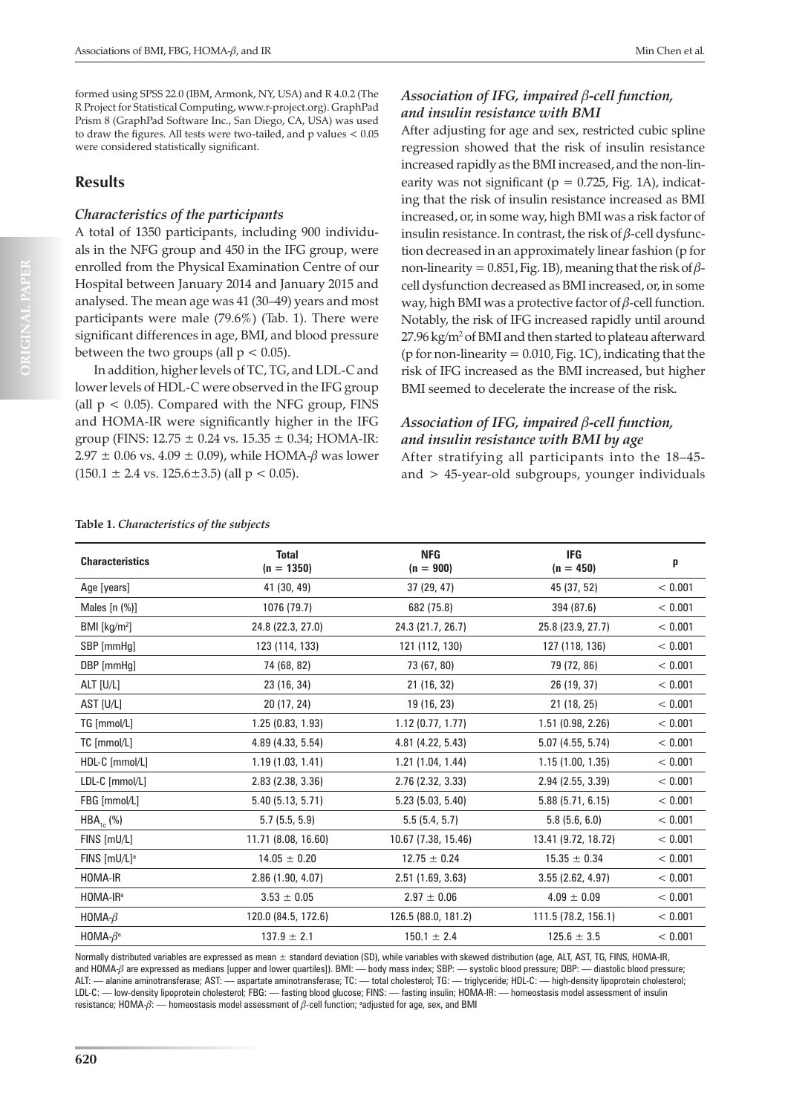formed using SPSS 22.0 (IBM, Armonk, NY, USA) and R 4.0.2 (The R Project for Statistical Computing, www.r-project.org). GraphPad Prism 8 (GraphPad Software Inc., San Diego, CA, USA) was used to draw the figures. All tests were two-tailed, and p values < 0.05 were considered statistically significant.

## **Results**

#### *Characteristics of the participants*

A total of 1350 participants, including 900 individuals in the NFG group and 450 in the IFG group, were enrolled from the Physical Examination Centre of our Hospital between January 2014 and January 2015 and analysed. The mean age was 41 (30–49) years and most participants were male (79.6%) (Tab. 1). There were significant differences in age, BMI, and blood pressure between the two groups (all  $p < 0.05$ ).

In addition, higher levels of TC, TG, and LDL-C and lower levels of HDL-C were observed in the IFG group (all  $p < 0.05$ ). Compared with the NFG group, FINS and HOMA-IR were significantly higher in the IFG group (FINS:  $12.75 \pm 0.24$  vs.  $15.35 \pm 0.34$ ; HOMA-IR:  $2.97 \pm 0.06$  vs.  $4.09 \pm 0.09$ ), while HOMA- $\beta$  was lower  $(150.1 \pm 2.4 \text{ vs. } 125.6 \pm 3.5)$  (all  $p < 0.05$ ).

## *Association of IFG, impaired* b*-cell function, and insulin resistance with BMI*

After adjusting for age and sex, restricted cubic spline regression showed that the risk of insulin resistance increased rapidly as the BMI increased, and the non-linearity was not significant ( $p = 0.725$ , Fig. 1A), indicating that the risk of insulin resistance increased as BMI increased, or, in some way, high BMI was a risk factor of insulin resistance. In contrast, the risk of  $\beta$ -cell dysfunction decreased in an approximately linear fashion (p for non-linearity = 0.851, Fig. 1B), meaning that the risk of  $\beta$ cell dysfunction decreased as BMI increased, or, in some way, high BMI was a protective factor of  $\beta$ -cell function. Notably, the risk of IFG increased rapidly until around 27.96 kg/m2 of BMI and then started to plateau afterward ( $p$  for non-linearity = 0.010, Fig. 1C), indicating that the risk of IFG increased as the BMI increased, but higher BMI seemed to decelerate the increase of the risk.

# *Association of IFG, impaired* b*-cell function, and insulin resistance with BMI by age*

After stratifying all participants into the 18–45 and > 45-year-old subgroups, younger individuals

| <b>Characteristics</b>     | <b>Total</b><br>$(n = 1350)$ | <b>NFG</b><br>$(n = 900)$ | <b>IFG</b><br>$(n = 450)$ | p       |
|----------------------------|------------------------------|---------------------------|---------------------------|---------|
| Age [years]                | 41 (30, 49)                  | 37 (29, 47)               | 45 (37, 52)               | < 0.001 |
| Males $[n (%)]$            | 1076 (79.7)                  | 682 (75.8)                | 394 (87.6)                | < 0.001 |
| BMI [kg/m <sup>2</sup> ]   | 24.8 (22.3, 27.0)            | 24.3 (21.7, 26.7)         | 25.8 (23.9, 27.7)         | < 0.001 |
| SBP [mmHq]                 | 123 (114, 133)               | 121 (112, 130)            | 127 (118, 136)            | < 0.001 |
| DBP [mmHg]                 | 74 (68, 82)                  | 73 (67, 80)               | 79 (72, 86)               | < 0.001 |
| ALT [U/L]                  | 23 (16, 34)                  | 21 (16, 32)               | 26 (19, 37)               | < 0.001 |
| AST [U/L]                  | 20 (17, 24)                  | 19 (16, 23)               | 21 (18, 25)               | < 0.001 |
| TG [mmol/L]                | 1.25(0.83, 1.93)             | 1.12(0.77, 1.77)          | 1.51(0.98, 2.26)          | < 0.001 |
| TC [mmol/L]                | 4.89 (4.33, 5.54)            | 4.81 (4.22, 5.43)         | 5.07 (4.55, 5.74)         | < 0.001 |
| HDL-C [mmol/L]             | 1.19(1.03, 1.41)             | 1.21(1.04, 1.44)          | 1.15(1.00, 1.35)          | < 0.001 |
| LDL-C [mmol/L]             | $2.83$ (2.38, 3.36)          | 2.76 (2.32, 3.33)         | 2.94 (2.55, 3.39)         | < 0.001 |
| FBG [mmol/L]               | 5.40(5.13, 5.71)             | 5.23(5.03, 5.40)          | 5.88(5.71, 6.15)          | < 0.001 |
| $HBA_{1c}$ (%)             | 5.7(5.5, 5.9)                | 5.5(5.4, 5.7)             | 5.8(5.6, 6.0)             | < 0.001 |
| FINS [mU/L]                | 11.71 (8.08, 16.60)          | 10.67 (7.38, 15.46)       | 13.41 (9.72, 18.72)       | < 0.001 |
| FINS [mU/L] <sup>a</sup>   | $14.05 \pm 0.20$             | $12.75 \pm 0.24$          | $15.35 \pm 0.34$          | < 0.001 |
| HOMA-IR                    | 2.86 (1.90, 4.07)            | 2.51(1.69, 3.63)          | 3.55(2.62, 4.97)          | < 0.001 |
| HOMA-IR <sup>a</sup>       | $3.53 \pm 0.05$              | $2.97 \pm 0.06$           | $4.09 \pm 0.09$           | < 0.001 |
| HOMA- $\beta$              | 120.0 (84.5, 172.6)          | 126.5 (88.0, 181.2)       | 111.5 (78.2, 156.1)       | < 0.001 |
| HOMA- $\beta$ <sup>a</sup> | $137.9 \pm 2.1$              | $150.1 \pm 2.4$           | $125.6 \pm 3.5$           | < 0.001 |

**Table 1.** *Characteristics of the subjects*

Normally distributed variables are expressed as mean ± standard deviation (SD), while variables with skewed distribution (age, ALT, AST, TG, FINS, HOMA-IR, and HOMA- $\beta$  are expressed as medians [upper and lower quartiles]). BMI: — body mass index; SBP: — systolic blood pressure; DBP: — diastolic blood pressure; ALT: — alanine aminotransferase; AST: — aspartate aminotransferase; TC: — total cholesterol; TG: — triglyceride; HDL-C: — high-density lipoprotein cholesterol; LDL-C: — low-density lipoprotein cholesterol; FBG: — fasting blood glucose; FINS: — fasting insulin; HOMA-IR: — homeostasis model assessment of insulin resistance; HOMA- $\beta$ : — homeostasis model assessment of  $\beta$ -cell function; ªadjusted for age, sex, and BMI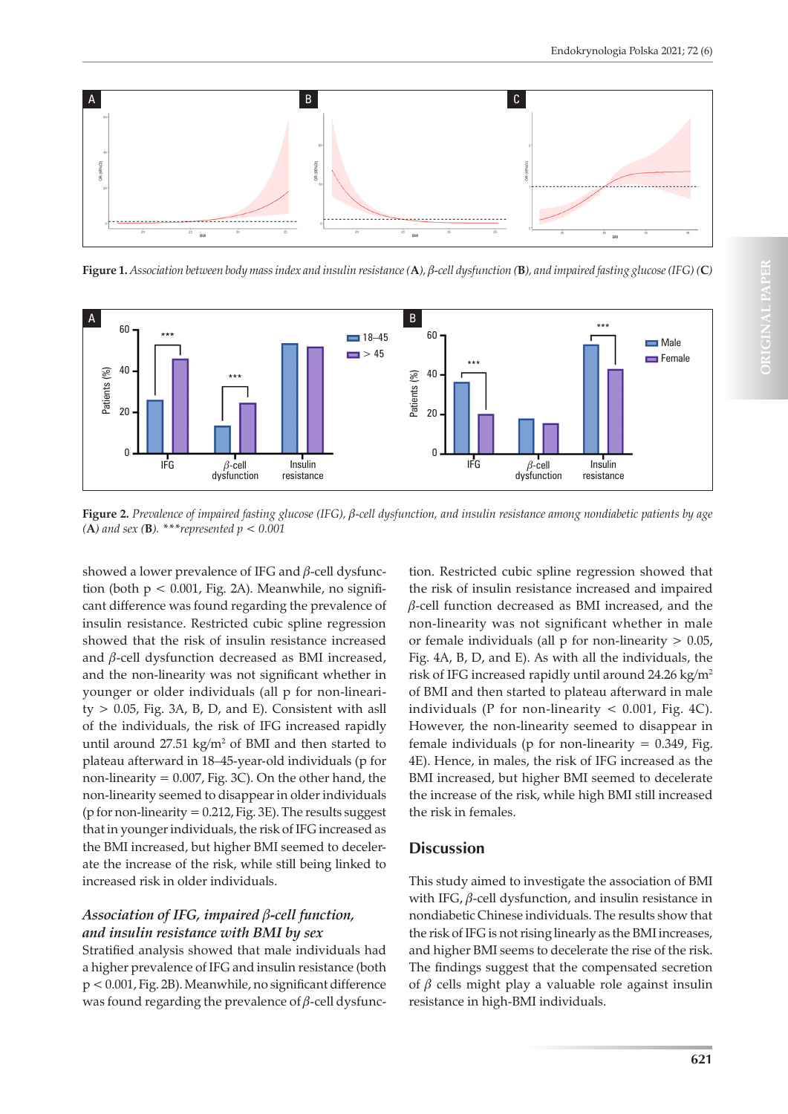

**Figure 1.** Association between body mass index and insulin resistance  $(A)$ ,  $\beta$ -cell dysfunction  $(B)$ , and impaired fasting glucose (IFG)  $(C)$ 



**Figure 2.** *Prevalence of impaired fasting glucose (IFG),* b*-cell dysfunction, and insulin resistance among nondiabetic patients by age* 

showed a lower prevalence of IFG and  $\beta$ -cell dysfunction (both  $p < 0.001$ , Fig. 2A). Meanwhile, no significant difference was found regarding the prevalence of insulin resistance. Restricted cubic spline regression showed that the risk of insulin resistance increased and  $\beta$ -cell dysfunction decreased as BMI increased, and the non-linearity was not significant whether in younger or older individuals (all p for non-lineari $ty > 0.05$ , Fig. 3A, B, D, and E). Consistent with asll of the individuals, the risk of IFG increased rapidly until around  $27.51 \text{ kg/m}^2$  of BMI and then started to plateau afterward in 18–45-year-old individuals (p for non-linearity = 0.007, Fig. 3C). On the other hand, the non-linearity seemed to disappear in older individuals (p for non-linearity  $= 0.212$ , Fig. 3E). The results suggest that in younger individuals, the risk of IFG increased as the BMI increased, but higher BMI seemed to decelerate the increase of the risk, while still being linked to increased risk in older individuals.

# *Association of IFG, impaired* b*-cell function, and insulin resistance with BMI by sex*

Stratified analysis showed that male individuals had a higher prevalence of IFG and insulin resistance (both p < 0.001, Fig. 2B). Meanwhile, no significant difference was found regarding the prevalence of  $\beta$ -cell dysfunc-

tion. Restricted cubic spline regression showed that the risk of insulin resistance increased and impaired  $\beta$ -cell function decreased as BMI increased, and the non-linearity was not significant whether in male or female individuals (all  $p$  for non-linearity  $> 0.05$ , Fig. 4A, B, D, and E). As with all the individuals, the risk of IFG increased rapidly until around 24.26 kg/m2 of BMI and then started to plateau afterward in male individuals (P for non-linearity  $< 0.001$ , Fig. 4C). However, the non-linearity seemed to disappear in female individuals ( $p$  for non-linearity = 0.349, Fig. 4E). Hence, in males, the risk of IFG increased as the BMI increased, but higher BMI seemed to decelerate the increase of the risk, while high BMI still increased the risk in females.

# **Discussion**

This study aimed to investigate the association of BMI with IFG,  $\beta$ -cell dysfunction, and insulin resistance in nondiabetic Chinese individuals. The results show that the risk of IFG is not rising linearly as the BMI increases, and higher BMI seems to decelerate the rise of the risk. The findings suggest that the compensated secretion of  $\beta$  cells might play a valuable role against insulin resistance in high-BMI individuals.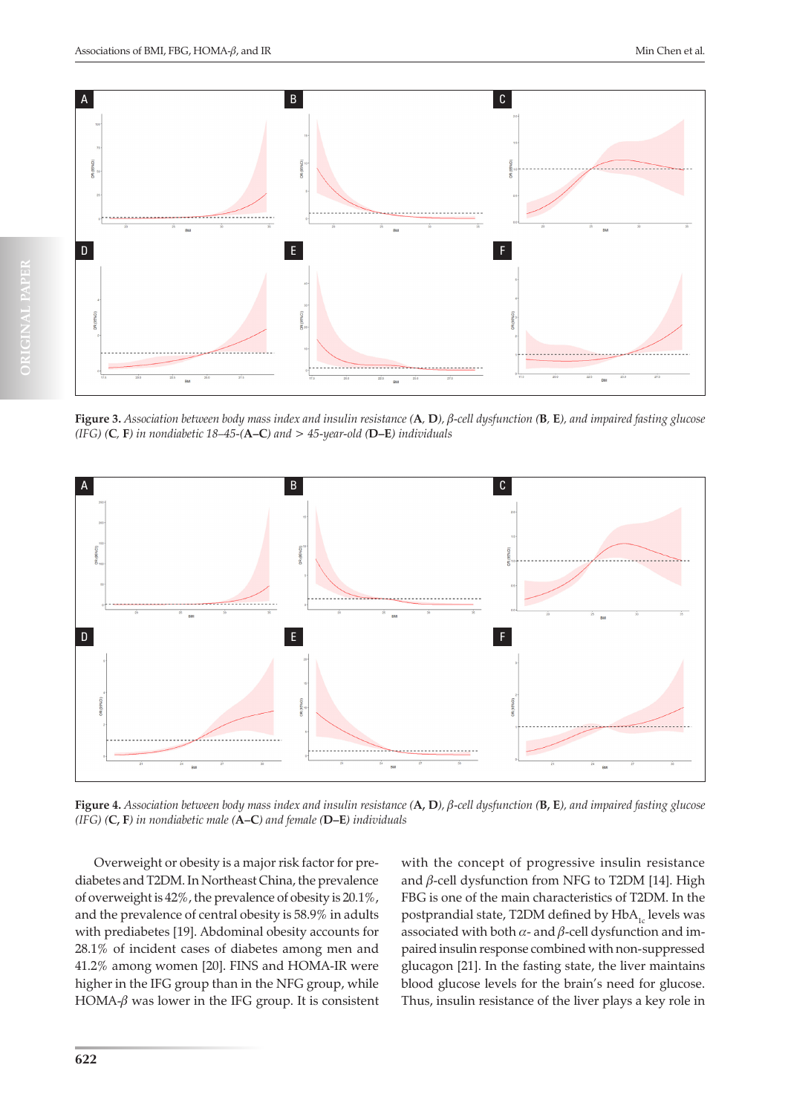

**Figure 3.** Association between body mass index and insulin resistance  $(A, D)$ ,  $\beta$ -cell dysfunction  $(B, E)$ , and impaired fasting glucose *(IFG) (***C***,* **F***) in nondiabetic 18–45-(***A–C***) and > 45-year-old (***D–E***) individuals*



**Figure 4.** *Association between body mass index and insulin resistance (***A, D***),* b*-cell dysfunction (***B, E***), and impaired fasting glucose (IFG) (***C, F***) in nondiabetic male (***A–C***) and female (***D–E***) individuals*

Overweight or obesity is a major risk factor for prediabetes and T2DM. In Northeast China, the prevalence of overweight is 42%, the prevalence of obesity is 20.1%, and the prevalence of central obesity is 58.9% in adults with prediabetes [19]. Abdominal obesity accounts for 28.1% of incident cases of diabetes among men and 41.2% among women [20]. FINS and HOMA-IR were higher in the IFG group than in the NFG group, while HOMA- $\beta$  was lower in the IFG group. It is consistent with the concept of progressive insulin resistance and  $\beta$ -cell dysfunction from NFG to T2DM [14]. High FBG is one of the main characteristics of T2DM. In the postprandial state, T2DM defined by  $HbA_{1c}$  levels was associated with both  $\alpha$ - and  $\beta$ -cell dysfunction and impaired insulin response combined with non-suppressed glucagon [21]. In the fasting state, the liver maintains blood glucose levels for the brain's need for glucose. Thus, insulin resistance of the liver plays a key role in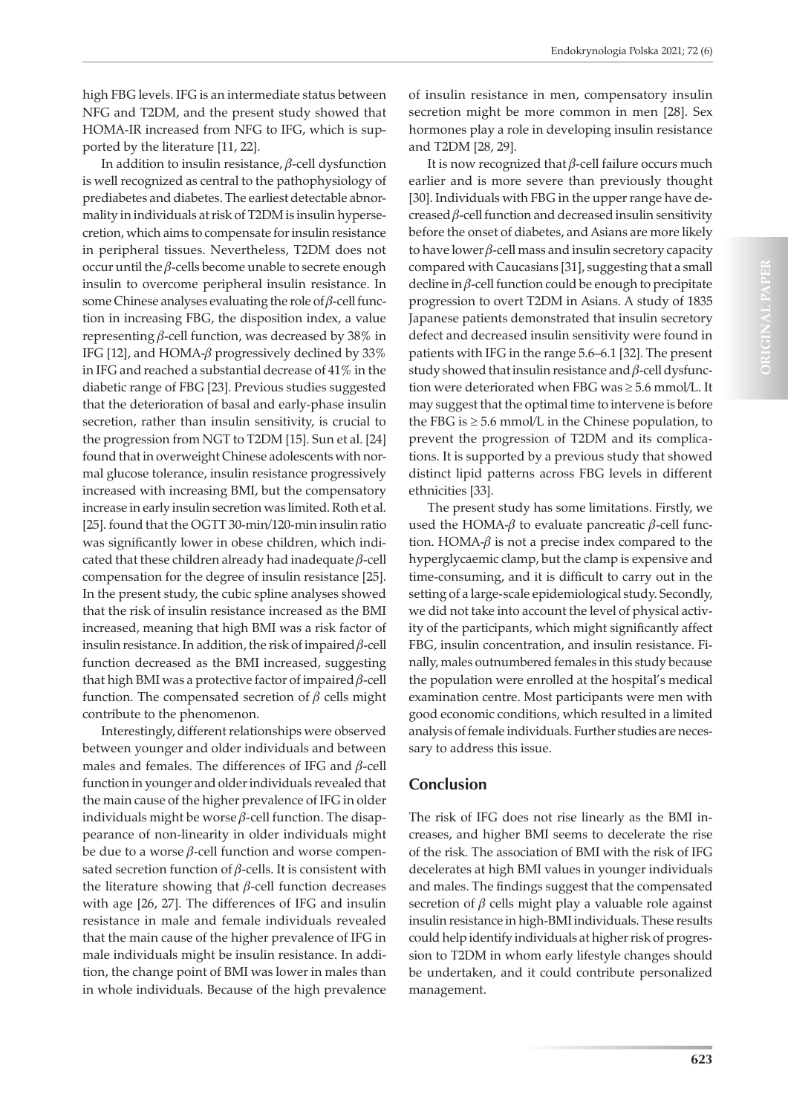high FBG levels. IFG is an intermediate status between NFG and T2DM, and the present study showed that HOMA-IR increased from NFG to IFG, which is supported by the literature [11, 22].

In addition to insulin resistance,  $\beta$ -cell dysfunction is well recognized as central to the pathophysiology of prediabetes and diabetes. The earliest detectable abnormality in individuals at risk of T2DM is insulin hypersecretion, which aims to compensate for insulin resistance in peripheral tissues. Nevertheless, T2DM does not occur until the  $\beta$ -cells become unable to secrete enough insulin to overcome peripheral insulin resistance. In some Chinese analyses evaluating the role of  $\beta$ -cell function in increasing FBG, the disposition index, a value representing  $\beta$ -cell function, was decreased by 38% in IFG [12], and HOMA- $\beta$  progressively declined by 33% in IFG and reached a substantial decrease of 41% in the diabetic range of FBG [23]. Previous studies suggested that the deterioration of basal and early-phase insulin secretion, rather than insulin sensitivity, is crucial to the progression from NGT to T2DM [15]. Sun et al. [24] found that in overweight Chinese adolescents with normal glucose tolerance, insulin resistance progressively increased with increasing BMI, but the compensatory increase in early insulin secretion was limited. Roth et al. [25]. found that the OGTT 30-min/120-min insulin ratio was significantly lower in obese children, which indicated that these children already had inadequate  $\beta$ -cell compensation for the degree of insulin resistance [25]. In the present study, the cubic spline analyses showed that the risk of insulin resistance increased as the BMI increased, meaning that high BMI was a risk factor of insulin resistance. In addition, the risk of impaired  $\beta$ -cell function decreased as the BMI increased, suggesting that high BMI was a protective factor of impaired  $\beta$ -cell function. The compensated secretion of  $\beta$  cells might contribute to the phenomenon.

Interestingly, different relationships were observed between younger and older individuals and between males and females. The differences of IFG and  $\beta$ -cell function in younger and older individuals revealed that the main cause of the higher prevalence of IFG in older individuals might be worse  $\beta$ -cell function. The disappearance of non-linearity in older individuals might be due to a worse  $\beta$ -cell function and worse compensated secretion function of  $\beta$ -cells. It is consistent with the literature showing that  $\beta$ -cell function decreases with age [26, 27]. The differences of IFG and insulin resistance in male and female individuals revealed that the main cause of the higher prevalence of IFG in male individuals might be insulin resistance. In addition, the change point of BMI was lower in males than in whole individuals. Because of the high prevalence

of insulin resistance in men, compensatory insulin secretion might be more common in men [28]. Sex hormones play a role in developing insulin resistance and T2DM [28, 29].

It is now recognized that  $\beta$ -cell failure occurs much earlier and is more severe than previously thought [30]. Individuals with FBG in the upper range have decreased  $\beta$ -cell function and decreased insulin sensitivity before the onset of diabetes, and Asians are more likely to have lower  $\beta$ -cell mass and insulin secretory capacity compared with Caucasians [31], suggesting that a small decline in  $\beta$ -cell function could be enough to precipitate progression to overt T2DM in Asians. A study of 1835 Japanese patients demonstrated that insulin secretory defect and decreased insulin sensitivity were found in patients with IFG in the range 5.6–6.1 [32]. The present study showed that insulin resistance and  $\beta$ -cell dysfunction were deteriorated when FBG was ≥ 5.6 mmol/L. It may suggest that the optimal time to intervene is before the FBG is  $\geq$  5.6 mmol/L in the Chinese population, to prevent the progression of T2DM and its complications. It is supported by a previous study that showed distinct lipid patterns across FBG levels in different ethnicities [33].

The present study has some limitations. Firstly, we used the HOMA- $\beta$  to evaluate pancreatic  $\beta$ -cell function. HOMA- $\beta$  is not a precise index compared to the hyperglycaemic clamp, but the clamp is expensive and time-consuming, and it is difficult to carry out in the setting of a large-scale epidemiological study. Secondly, we did not take into account the level of physical activity of the participants, which might significantly affect FBG, insulin concentration, and insulin resistance. Finally, males outnumbered females in this study because the population were enrolled at the hospital's medical examination centre. Most participants were men with good economic conditions, which resulted in a limited analysis of female individuals. Further studies are necessary to address this issue.

# **Conclusion**

The risk of IFG does not rise linearly as the BMI increases, and higher BMI seems to decelerate the rise of the risk. The association of BMI with the risk of IFG decelerates at high BMI values in younger individuals and males. The findings suggest that the compensated secretion of  $\beta$  cells might play a valuable role against insulin resistance in high-BMI individuals. These results could help identify individuals at higher risk of progression to T2DM in whom early lifestyle changes should be undertaken, and it could contribute personalized management.